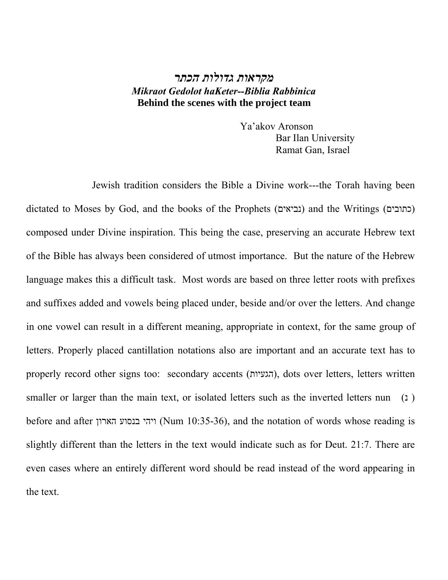# *מקראות גדולות הכתר Mikraot Gedolot haKeter--Biblia Rabbinica*  **Behind the scenes with the project team**

 Ya'akov Aronson Bar Ilan University Ramat Gan, Israel

 Jewish tradition considers the Bible a Divine work---the Torah having been dictated to Moses by God, and the books of the Prophets (נביאים) and the Writings (כתובים) composed under Divine inspiration. This being the case, preserving an accurate Hebrew text of the Bible has always been considered of utmost importance. But the nature of the Hebrew language makes this a difficult task. Most words are based on three letter roots with prefixes and suffixes added and vowels being placed under, beside and/or over the letters. And change in one vowel can result in a different meaning, appropriate in context, for the same group of letters. Properly placed cantillation notations also are important and an accurate text has to properly record other signs too: secondary accents (הגעיות), dots over letters, letters written smaller or larger than the main text, or isolated letters such as the inverted letters nun (1) before and after הארון בנסוע ויהי) Num 10:35-36), and the notation of words whose reading is slightly different than the letters in the text would indicate such as for Deut. 21:7. There are even cases where an entirely different word should be read instead of the word appearing in the text.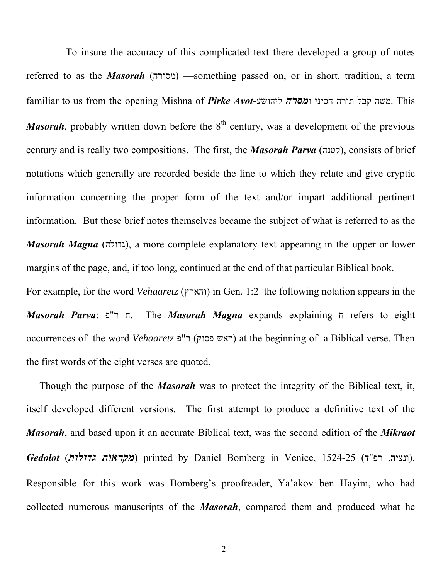To insure the accuracy of this complicated text there developed a group of notes referred to as the *Masorah* (מסורה) — something passed on, or in short, tradition, a term familiar to us from the opening Mishna of *Pirke Avot*-ליהושע ו*מסרה* הסיני תורה קבל משה. This *Masorah*, probably written down before the  $8<sup>th</sup>$  century, was a development of the previous century and is really two compositions. The first, the *Masorah Parva* (קטנה), consists of brief notations which generally are recorded beside the line to which they relate and give cryptic information concerning the proper form of the text and/or impart additional pertinent information. But these brief notes themselves became the subject of what is referred to as the *Masorah Magna* (גדולה), a more complete explanatory text appearing in the upper or lower margins of the page, and, if too long, continued at the end of that particular Biblical book. For example, for the word *Vehaaretz* () והארץ in Gen. 1:2 the following notation appears in the *Masorah Parva*: . פ"ר ח The *Masorah Magna* expands explaining ח refers to eight occurrences of the word *Vehaaretz* ) פ"ר) פסוק ראש at the beginning of a Biblical verse. Then the first words of the eight verses are quoted.

Though the purpose of the *Masorah* was to protect the integrity of the Biblical text, it, itself developed different versions. The first attempt to produce a definitive text of the *Masorah*, and based upon it an accurate Biblical text, was the second edition of the *Mikraot Gedolot (מקראות גדולות)* printed by Daniel Bomberg in Venice, 1524-25 (ונציה, רפ"ר). Responsible for this work was Bomberg's proofreader, Ya'akov ben Hayim, who had collected numerous manuscripts of the *Masorah*, compared them and produced what he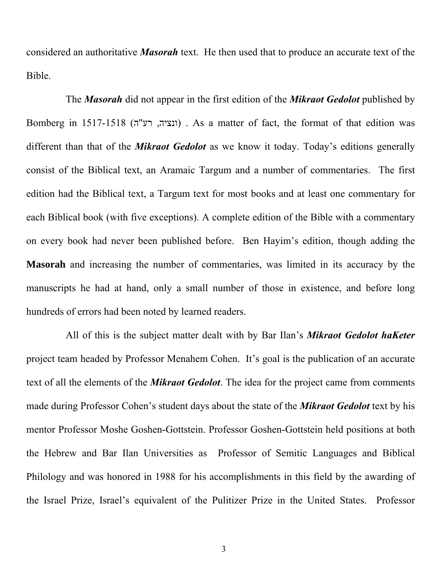considered an authoritative *Masorah* text. He then used that to produce an accurate text of the Bible.

The *Masorah* did not appear in the first edition of the *Mikraot Gedolot* published by Bomberg in 1517-1518 (ונציה, רע"ה). As a matter of fact, the format of that edition was different than that of the *Mikraot Gedolot* as we know it today. Today's editions generally consist of the Biblical text, an Aramaic Targum and a number of commentaries. The first edition had the Biblical text, a Targum text for most books and at least one commentary for each Biblical book (with five exceptions). A complete edition of the Bible with a commentary on every book had never been published before. Ben Hayim's edition, though adding the **Masorah** and increasing the number of commentaries, was limited in its accuracy by the manuscripts he had at hand, only a small number of those in existence, and before long hundreds of errors had been noted by learned readers.

All of this is the subject matter dealt with by Bar Ilan's *Mikraot Gedolot haKeter* project team headed by Professor Menahem Cohen. It's goal is the publication of an accurate text of all the elements of the *Mikraot Gedolot*. The idea for the project came from comments made during Professor Cohen's student days about the state of the *Mikraot Gedolot* text by his mentor Professor Moshe Goshen-Gottstein. Professor Goshen-Gottstein held positions at both the Hebrew and Bar Ilan Universities as Professor of Semitic Languages and Biblical Philology and was honored in 1988 for his accomplishments in this field by the awarding of the Israel Prize, Israel's equivalent of the Pulitizer Prize in the United States. Professor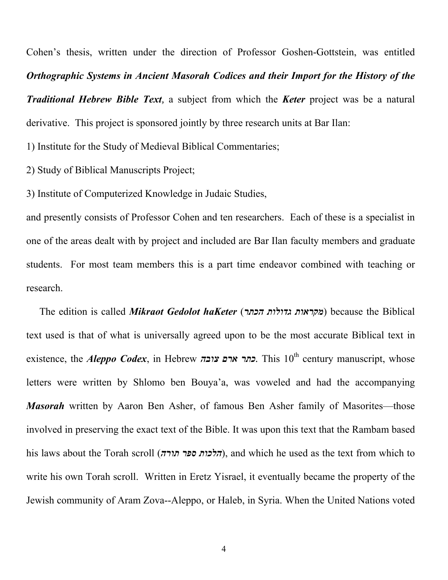Cohen's thesis, written under the direction of Professor Goshen-Gottstein, was entitled *Orthographic Systems in Ancient Masorah Codices and their Import for the History of the Traditional Hebrew Bible Text,* a subject from which the *Keter* project was be a natural derivative. This project is sponsored jointly by three research units at Bar Ilan:

1) Institute for the Study of Medieval Biblical Commentaries;

2) Study of Biblical Manuscripts Project;

3) Institute of Computerized Knowledge in Judaic Studies,

and presently consists of Professor Cohen and ten researchers. Each of these is a specialist in one of the areas dealt with by project and included are Bar Ilan faculty members and graduate students. For most team members this is a part time endeavor combined with teaching or research.

The edition is called *Mikraot Gedolot haKeter* () *הכתר גדולות מקראות* because the Biblical text used is that of what is universally agreed upon to be the most accurate Biblical text in existence, the *Aleppo Codex*, in Hebrew *צובה ארם כתר.* This 10th century manuscript, whose letters were written by Shlomo ben Bouya'a, was voweled and had the accompanying *Masorah* written by Aaron Ben Asher, of famous Ben Asher family of Masorites—those involved in preserving the exact text of the Bible. It was upon this text that the Rambam based his laws about the Torah scroll (*הלכות ספר תורה*), and which he used as the text from which to write his own Torah scroll. Written in Eretz Yisrael, it eventually became the property of the Jewish community of Aram Zova--Aleppo, or Haleb, in Syria. When the United Nations voted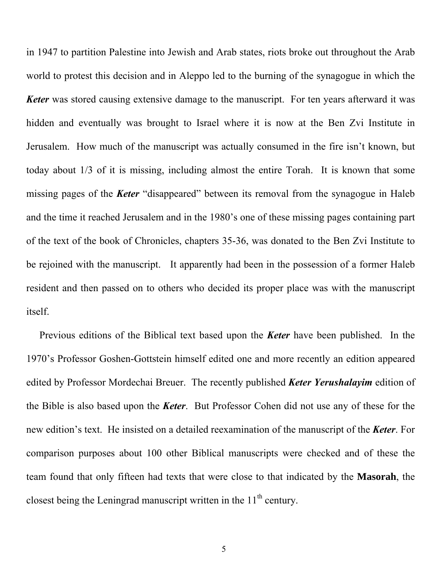in 1947 to partition Palestine into Jewish and Arab states, riots broke out throughout the Arab world to protest this decision and in Aleppo led to the burning of the synagogue in which the *Keter* was stored causing extensive damage to the manuscript. For ten years afterward it was hidden and eventually was brought to Israel where it is now at the Ben Zvi Institute in Jerusalem. How much of the manuscript was actually consumed in the fire isn't known, but today about 1/3 of it is missing, including almost the entire Torah. It is known that some missing pages of the *Keter* "disappeared" between its removal from the synagogue in Haleb and the time it reached Jerusalem and in the 1980's one of these missing pages containing part of the text of the book of Chronicles, chapters 35-36, was donated to the Ben Zvi Institute to be rejoined with the manuscript. It apparently had been in the possession of a former Haleb resident and then passed on to others who decided its proper place was with the manuscript itself.

Previous editions of the Biblical text based upon the *Keter* have been published. In the 1970's Professor Goshen-Gottstein himself edited one and more recently an edition appeared edited by Professor Mordechai Breuer. The recently published *Keter Yerushalayim* edition of the Bible is also based upon the *Keter*. But Professor Cohen did not use any of these for the new edition's text. He insisted on a detailed reexamination of the manuscript of the *Keter*. For comparison purposes about 100 other Biblical manuscripts were checked and of these the team found that only fifteen had texts that were close to that indicated by the **Masorah**, the closest being the Leningrad manuscript written in the  $11<sup>th</sup>$  century.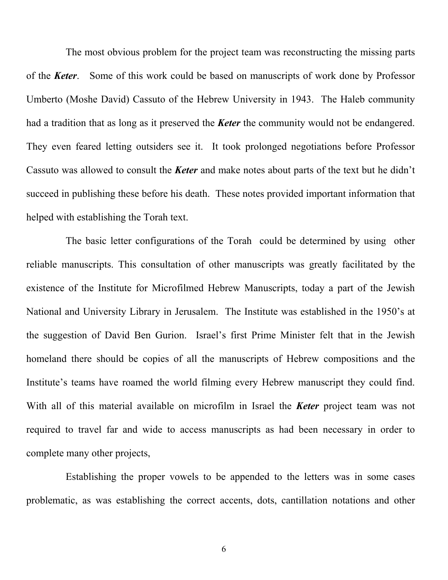The most obvious problem for the project team was reconstructing the missing parts of the *Keter*. Some of this work could be based on manuscripts of work done by Professor Umberto (Moshe David) Cassuto of the Hebrew University in 1943. The Haleb community had a tradition that as long as it preserved the *Keter* the community would not be endangered. They even feared letting outsiders see it. It took prolonged negotiations before Professor Cassuto was allowed to consult the *Keter* and make notes about parts of the text but he didn't succeed in publishing these before his death. These notes provided important information that helped with establishing the Torah text.

The basic letter configurations of the Torah could be determined by using other reliable manuscripts. This consultation of other manuscripts was greatly facilitated by the existence of the Institute for Microfilmed Hebrew Manuscripts, today a part of the Jewish National and University Library in Jerusalem. The Institute was established in the 1950's at the suggestion of David Ben Gurion. Israel's first Prime Minister felt that in the Jewish homeland there should be copies of all the manuscripts of Hebrew compositions and the Institute's teams have roamed the world filming every Hebrew manuscript they could find. With all of this material available on microfilm in Israel the *Keter* project team was not required to travel far and wide to access manuscripts as had been necessary in order to complete many other projects,

Establishing the proper vowels to be appended to the letters was in some cases problematic, as was establishing the correct accents, dots, cantillation notations and other

6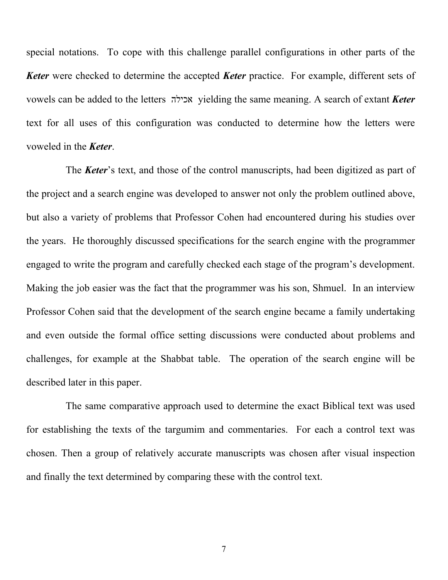special notations. To cope with this challenge parallel configurations in other parts of the *Keter* were checked to determine the accepted *Keter* practice. For example, different sets of vowels can be added to the letters אכילה yielding the same meaning. A search of extant *Keter* text for all uses of this configuration was conducted to determine how the letters were voweled in the *Keter*.

The *Keter*'s text, and those of the control manuscripts, had been digitized as part of the project and a search engine was developed to answer not only the problem outlined above, but also a variety of problems that Professor Cohen had encountered during his studies over the years. He thoroughly discussed specifications for the search engine with the programmer engaged to write the program and carefully checked each stage of the program's development. Making the job easier was the fact that the programmer was his son, Shmuel. In an interview Professor Cohen said that the development of the search engine became a family undertaking and even outside the formal office setting discussions were conducted about problems and challenges, for example at the Shabbat table. The operation of the search engine will be described later in this paper.

The same comparative approach used to determine the exact Biblical text was used for establishing the texts of the targumim and commentaries. For each a control text was chosen. Then a group of relatively accurate manuscripts was chosen after visual inspection and finally the text determined by comparing these with the control text.

7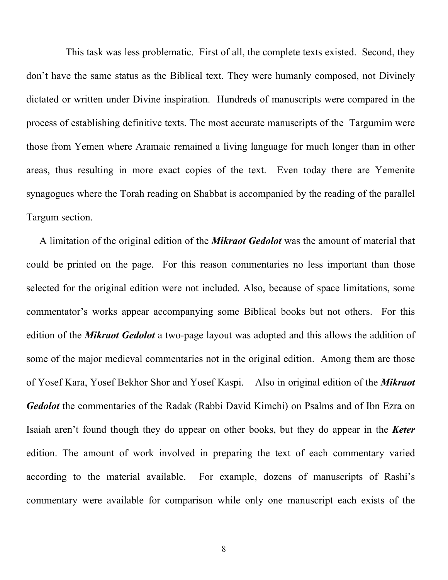This task was less problematic. First of all, the complete texts existed. Second, they don't have the same status as the Biblical text. They were humanly composed, not Divinely dictated or written under Divine inspiration. Hundreds of manuscripts were compared in the process of establishing definitive texts. The most accurate manuscripts of the Targumim were those from Yemen where Aramaic remained a living language for much longer than in other areas, thus resulting in more exact copies of the text. Even today there are Yemenite synagogues where the Torah reading on Shabbat is accompanied by the reading of the parallel Targum section.

A limitation of the original edition of the *Mikraot Gedolot* was the amount of material that could be printed on the page. For this reason commentaries no less important than those selected for the original edition were not included. Also, because of space limitations, some commentator's works appear accompanying some Biblical books but not others. For this edition of the *Mikraot Gedolot* a two-page layout was adopted and this allows the addition of some of the major medieval commentaries not in the original edition. Among them are those of Yosef Kara, Yosef Bekhor Shor and Yosef Kaspi. Also in original edition of the *Mikraot Gedolot* the commentaries of the Radak (Rabbi David Kimchi) on Psalms and of Ibn Ezra on Isaiah aren't found though they do appear on other books, but they do appear in the *Keter* edition. The amount of work involved in preparing the text of each commentary varied according to the material available. For example, dozens of manuscripts of Rashi's commentary were available for comparison while only one manuscript each exists of the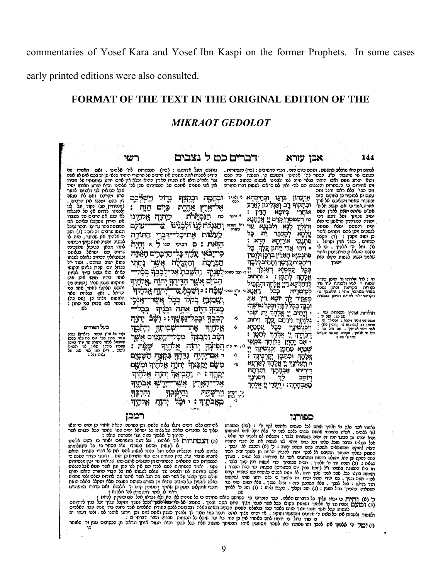commentaries of Yosef Kara and Yosef Ibn Kaspi on the former Prophets. In some cases

early printed editions were also consulted.

## **FORMAT OF THE TEXT IN THE ORIGINAL EDITION OF THE**

### *MIKRAOT GEDOLOT*

| שנ                                                                                                                                                                                                                                                                                                                                                                                                                                                                                                                                                                                                                                                                                                                                                                                                                                                                                                                                                                                                                                                                                                                                                                                       |                                                                                                                                                                                                                                                                                                                                                                                                                                                                                                                                                                                                                                                     | דברים כט ל נצבים                                                                                                                                                                                                                                             |                                                                                                                                                                                                                                                                                                                                                                                                                                                                                                                                                                                                                                                                                                                                                                                                                                                                                                                                                                                                                                                                                                           | אבן עזרא                                                                                                                                                                                                                                                                                                                                                 | 144                                                                                                                                                                                                                                                                                                                                                                                                                                                                                                                                                                                                                                                                                                                                                                                        |
|------------------------------------------------------------------------------------------------------------------------------------------------------------------------------------------------------------------------------------------------------------------------------------------------------------------------------------------------------------------------------------------------------------------------------------------------------------------------------------------------------------------------------------------------------------------------------------------------------------------------------------------------------------------------------------------------------------------------------------------------------------------------------------------------------------------------------------------------------------------------------------------------------------------------------------------------------------------------------------------------------------------------------------------------------------------------------------------------------------------------------------------------------------------------------------------|-----------------------------------------------------------------------------------------------------------------------------------------------------------------------------------------------------------------------------------------------------------------------------------------------------------------------------------------------------------------------------------------------------------------------------------------------------------------------------------------------------------------------------------------------------------------------------------------------------------------------------------------------------|--------------------------------------------------------------------------------------------------------------------------------------------------------------------------------------------------------------------------------------------------------------|-----------------------------------------------------------------------------------------------------------------------------------------------------------------------------------------------------------------------------------------------------------------------------------------------------------------------------------------------------------------------------------------------------------------------------------------------------------------------------------------------------------------------------------------------------------------------------------------------------------------------------------------------------------------------------------------------------------------------------------------------------------------------------------------------------------------------------------------------------------------------------------------------------------------------------------------------------------------------------------------------------------------------------------------------------------------------------------------------------------|----------------------------------------------------------------------------------------------------------------------------------------------------------------------------------------------------------------------------------------------------------------------------------------------------------------------------------------------------------|--------------------------------------------------------------------------------------------------------------------------------------------------------------------------------------------------------------------------------------------------------------------------------------------------------------------------------------------------------------------------------------------------------------------------------------------------------------------------------------------------------------------------------------------------------------------------------------------------------------------------------------------------------------------------------------------------------------------------------------------------------------------------------------------|
| נותשם מעל אדמתם : (כח) -הנסתרות לה' אלהינו . ואם -תאמרו מה<br>בידינו לעשות אתה מפניש את הרבים על הרהורי היחיד שנאי פן יש בכם איש או אשה<br>וגו׳ ואח״כ וראו את מכות הארץ ההיא והלא אין אדם יודע טמונותיו של חבירו<br>אין אני מעניש אתכם על הנסתרות שהן לה' אלהינו והוא יפרע מאותו יחיד<br>אבל הנגלות לנו ולבנינו לבער<br>הרע מקרננו ואם לא נעשה<br>דין בהם יענשו את הרבים<br>(סנהדרין מג) נקוד על לנו<br>ולבנינו לדרוש אף על הנגלות<br>לא ענש את הרבים עד שעברו<br>את הירדן משקבלו פליהם את<br>השבועה בהר גרזים - ובהר עיבל<br>ונעשו ערבים זה לזה : (ג) ושב<br>ה׳ אלהיך את שבותך . היה לו<br>לכתוב והשיב את שבותך רבותינו<br>למדו מכאן כביכול שהשכינה<br>שרויה עם ישראל בגלותם<br>וכשנגאלין הכתיב גאולה לעצמו<br>שהוא ישוב עמהם. ועוד י"ל<br>שגדול יוס קכון גליות וכקושי<br>כאילו הוא עצמו צריך להיות<br>חוחו כידיו ממש איש איש<br>ממקומו כענין שנא׳ (ישעיה כז)<br>ואתם תלקטו לאחד אחד בני<br>ישראל . ואף בגליות שאר<br>האומות מלינו כן (שם כה)<br>ושכתי לת שכות כני עמון :<br>td.<br>זייַ<br>בעל המורים<br>נקוד על עי'ן שכעד כדאיסא בפרק<br>עמר סדין שע׳ יוס סיו מחי בשכפ<br>שהתחיל לכאר סתורה עד יו"ד בניסו<br>שעברו סירדן שאין לנו ולבנינו<br>ליענט - דיא כמו לעי שנה של<br>גלוס ככל : | נישלכם<br>גְרְוֹל<br>יבקצף<br>כֵיִים<br>אַחָרֵת<br>הנִקהַרת<br>כיהוה<br>אֵקהָינוּ<br>כְּנַוּ<br>עז<br>עוכם<br>התורה<br>אַת־⊆ַכ<br>רביעי<br>D<br>והיה<br>שני<br>×<br>7⊉ ন<br>הדבן<br>נתחי<br>וְהַמְּרָיָה<br>Ŋ<br>נהַשֱבתַ<br>יהוָה<br>יְחַדְּ<br>ַהְד<br>नुसूर्%<br>אנכי<br>VZN.<br>בְּכָל<br>בִקְרו<br>אַתֲה וּבְגָי<br><b>ַנִּפְשֶׁךְ :</b> י<br>וּבְכְר<br>ורחמד<br>يون<br>הֲעַמִּים אֲשֶׁוָ<br><u> زكافتخاء</u><br>طؤد<br>য়ঢ়ঢ়ৠ<br>لتلأل<br>יהיה<br>בִּקְצֶה הַשָּׁבָיֶם<br>جوبيج<br>אֵרהֵיךְ וּמִשָּׁם<br>리초승<br>ਜਸ਼<br>נהביאד<br>יִהוּהַ<br>n<br>ירשי<br>ΨŊ<br>וְהִיִבְּךָ<br><u>ָהִימְכְךָ</u><br>אָלהֶיך<br>מֵאֵבֹחֱךְ : וּ וּמֶל<br>יהיה | رختخلا<br>רכתי<br>ڲڶ<br>כח<br>י'א נקהית והבגלה<br>כעשות<br>הזאת :<br>הַבְּרָבָה<br><u>ה</u> כי עסר כמורה קַבְּבֶרֶךְ<br>הגוים אַשֶר<br>רַאֲנָא ּ יֹאֵ נَייִי קֶצֶת ; בּ וְשֲׁבְתָּ עַו<br>קצור היום<br>तस्रस<br>ودائلك<br>שב<br>הֶפְי<br>אם<br>דאר<br>וירשתה | לנתוש רק הוא חובלע כמשפט . וטעם כיום הזה . דברי המשיבים : (כמ) הנסתרות .<br>הטעם מי שיעבוד <b>ע"ג ב</b> סתר לה' אוהינו והטעם כי משפטו ביד השם<br>והוא יפרע ממנו ואם היתה בגלוי חיוב לנו ולבנינו לעשות ככתוב בתורה<br>ויש אומרים כי הנסתרות והנגלות הם להי ואין לט כי אם לעשות דברי התורה<br>אַרְעֲהוֹן בִרְנֵוּ וּבְחֵימְתָא י <sup>ַ וּוֹמֵיד</sup><br>וּבְתִקוּף רַב וַאֲנִיִנוּן יִאֲרַע<br>כיוכא<br>הַדֵּין<br>לי ומסר<br>יי דמטטרן קדם יי אלהלא<br>עד<br>וְיִכְנָנָא<br>בסולה<br>⊊ל<br>ית.<br>למעבר<br>הַדַא<br>אריתא<br>⊊ל<br>ארי ייתון<br>צַקְד<br><u>ڪا نزڙنيرا</u><br>יהָבִית קְדָפְךְ וְתָהֵיב לְיָ<br>99<br>דאגיה<br>ב ותתוכ<br>יתמן :<br>לְדַחַלְתָּא דֵיְיָ אֱלֶהָךְ וּתְקַבִּיל<br>$T^*$<br>בכל<br>יוטא<br>דיו<br>ЛX<br>וּכְנָךְ כְּכָר לִבָּךְ וּכְכְל נַפְשָׁךְ:<br>שבי<br>へ<br>ויתוכ<br>עכִטַיַא<br>מבל<br>ふ<br>יִתְּמָן<br>אכהר<br>נִיְנָתָךְ בִּמְיָפֵי<br>לי. סיפים<br>99<br>יִכְנְשִׁינֶךְ <del>.</del><br>へ<br>בינה<br>י אָלְהָךְ<br>קאַרְעָא<br>ه،<br>אבהתה<br>ותרכזה<br>וַיִּסְגִינֶךְ<br>نجاد<br>ּפִאַּבְדָתָה <sup>ָ</sup> : יִנְצַנֵי יָ אֲלֶקָה<br>ט' דקדים<br>יו"ד לטית<br>А | אוחרי<br>ורגליו<br>7ַנָּא<br>עַלְטָא<br>פתנפי<br>א ויהי<br>פִּתְנָמֵיָא הָאָלֵין בִּר<br>עמטיא<br>אַכְהָנְ<br>לסיסריה<br>לְד<br>מְמַקִיד<br>י וְיָחֵיב יְיָ אֱלְהָךְ יָת<br>נַלְנְתָךְ וִירַחֵם עֲלֶךְ<br><b>וְיִכְנְשִׁינָ</b> ךָ<br>٠'n<br>ךַבַּרְרָךְ<br>יהיון.<br>י אם<br>שְׁמַיָא סִתַּכָן<br>וכותקן<br>.JQ26<br>ה וְיֵעֲלִינֶךְ<br>דיריתו<br>ויוטב | ווה הפי' בלא ראש ורגל ומה<br>טעם יש להזכיר כן במקום <sub>.</sub> הזה<br>וכעבור שאמר וישליכם אל ארץ<br>אחרת אמר כי אם  תשוב אל ה'<br>אפ״פ שאתה חוצה לארץ השם<br>ישיב שבותך ועל דעת רכי<br>יהודה המדקדק הראשון כי הוא<br>יניח והטעם ימלא מנוחה<br>לנשבים ויתן להם רחמים ואחר<br>כן ישוב ויקבן : (ד) כקלה<br>השמים . כנגד ארץ ישראל :<br>(ו) ומל כ׳ אלהיך . כי לו<br>כתכנו העלילות הראשונות ואחר<br>שאמר תשוב לשמוע בקולו הוא<br>ימורך<br>הי: לה' אלהינו מ' וסימן בסדר<br>שמות: לגיר ולבניג'ו ע"ד מ"ו<br>נקורות בקריאה וסימן נמסר<br>בסדר במדבר סיני : והיטבך שי<br>דקדימי יו"ד לטיית וסימן במסרה<br>תולדות אהרן מספרוס לסי<br>שם מג: ושכסי.<br>מגלה כמזוהר ויקרא: והכיאך הי<br>פרכין לב (שכועות לו קדושין כא)<br>מסר ירשו מכוסיך. שס נדס מו:<br>ומל הי אלהיך. עקידה שם שת עקרים<br>מידפ׳ כה: |
| רמבן                                                                                                                                                                                                                                                                                                                                                                                                                                                                                                                                                                                                                                                                                                                                                                                                                                                                                                                                                                                                                                                                                                                                                                                     |                                                                                                                                                                                                                                                                                                                                                                                                                                                                                                                                                                                                                                                     |                                                                                                                                                                                                                                                              |                                                                                                                                                                                                                                                                                                                                                                                                                                                                                                                                                                                                                                                                                                                                                                                                                                                                                                                                                                                                                                                                                                           | םפורנו                                                                                                                                                                                                                                                                                                                                                   |                                                                                                                                                                                                                                                                                                                                                                                                                                                                                                                                                                                                                                                                                                                                                                                            |
| להיותם כלם. רעים ויגלו גלות שלתה וכן בפרשה הבאה אחרי כן והיה כי יבאו<br>עליך כל הדברים האלה על גלות כל ישראל יהיה כמו שאמר בכל הגוים אשר<br>(כ) הנכתרות לה׳ אלהינו . על דעת המפרשים יאמר כי השם אלהינו<br>לו לעשות משפט בעובדי ע"ג בסתר כי כל התעלומות<br>גלויות לפניו והנגלות עלינו ועל בנינו לעשות להם את כל דברי התורה הזאת<br>להכות עובדי  ע"ג כדין התורה וגם כפי המדרש כן הוא . ודעתי בדרך הפשט כי<br>הנסתרות הם החטאים הנסתרים מן העושים אותם כמו -שגיאות מי יבין מנסתרות<br>נקני . יאמר הנסתרות לשם לבדו הם אין לנו בהן עון אשר חעא אבל הנגלות<br>שהם הזדונות לנו ולבנינו עד. עולם לעשות את כל דברי התורה הזאת חותת<br>עולם שכך קבלנו על אשר ישנו פה ועל אשר איננו פה לדורות עולם ולפי שהביא<br>באלה לעשות כל המצוה הוציא מן החרם העושה בשגגה שלא יתקלל. באלה הואת<br>ודברי אונהלוס מטיו כן שאתר דמטמרו קדם ה' אלהנא ואם כדברי המפרשים                                                                                                                                                                                                                                                                                                                                            | הדיתך ה' אלהיך שמה וגו' והפרשה כולה :                                                                                                                                                                                                                                                                                                                                                                                                                                                                                                                                                                                                               |                                                                                                                                                                                                                                                              | כאמרו אשר חלק ה׳ אלהיך אותם לכל העמים ואחכם לקח ה׳ : (כח) הנסחרת<br>לס' אלהינו , אע"ט שאמרתי שאתם נוצים כלכם לפני ה' שלא יוכל אדם להסעותו<br>אבל בנגלות הדבר מוסל פלינו ועל במט וראוי לנו לעשות את כל דברי התורה<br>הזאת להנקם מהתופאים ולעשות בהם משפס למוב : 7 (א) והשבח אל לבכך.<br>המטון בחלקי הסותר ומשיבם אל לבכך יחדו להכחין האמס מן השקר ובזה מכיר<br>כמה לחקת מן האל יתעלה בדעות ובמנהגים אשר לא כתורתו: בכל הגוים. בעודך<br>בגלוס : (כ) ושכס עד ה' אלהיך . חהיה תשובתך כדי לעשות ראו קוק בלבד<br>וא היא המשובה שאמרו ז"ל (יומא פרק יום הכפורים) שמגפת פד כסא הכבוד :<br>תשמפת בקיל ככל אשר אנכי מלוך היום . לא מנות אנשים מלומדה כמו שעשיה קודם<br>לכן: אתה ובניך . גם ילידי הדור יכירו זה כאמור כי כלם ידעו אותי למקפנם<br>ועד גדולם: בכל לבבך . שלא מסמפק בזה: ובכל נפשך . שלא ממנע מזה נגד<br>נת הרחבר נוד! ראות : (ו) ואד והדוד. דהדוז גליום : (ו) ומל ה' מלהיד                                                                                                                                                                                                                             |                                                                                                                                                                                                                                                                                                                                                          | והוא יפרע מן הבוגד הנה זה יהיה בנסחרות בלבד : והנגלות לנו ולבנינו עד עולה.                                                                                                                                                                                                                                                                                                                                                                                                                                                                                                                                                                                                                                                                                                                 |

המסארט בהכרך נגדל כמין: (ג) ופצ' וקבל . בקבון גליות : (ו) ומל ה' אלהיך ודכרי אונקלוס מטין כן שאתר דתטמרן קדם ה' אלהנא ואם בדברי המתרשים<br>המסארט בהכרך נגדל כמין: (ג) ופצ' וקבל . בקבון גליות : (ו) ומל ה' אלהיך ודכרי אולי לוו

9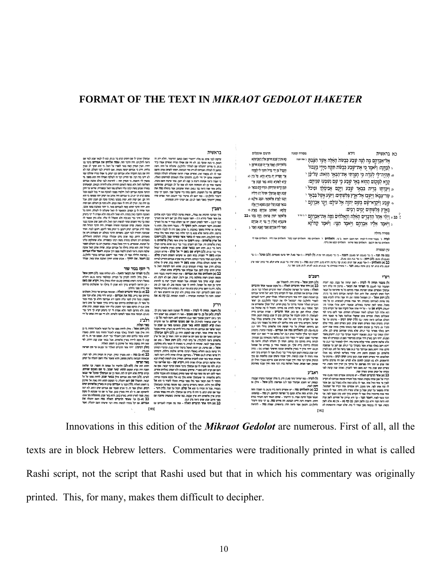## **FORMAT OF THE TEXT IN** *MIKRAOT GEDOLOT HAKETER*

תרגום אונקלוס וירא רא בראשית מסורה סטנה מָא אִינִין שָׁבָע חִוּרפָן אָלֵין דְאֱקֵימַתָּא אל־אַבְרָהָם מֶה הָנָה שֶבַע כִּבָשׂת הָאֲלֶה אֲשֶר הָצָּבְתָ יִ \*\*\* \*\*\* .<br>בלחודיתו: וַאֲמַר אֲרֵי יָת שְׁבַע חורמָן - ל , לבדנה: ויאמר כי את־שבע כבשת תקח מידי בעבור תקביל מן ידי בדיל התהי לי לסהדו <sub>וא</sub> תהיה־לי לעדה כי חפרתי את־הבאר הזאת: על־כן י .<br>ארי חפרית ית בירא הדא: על כין לא קרא למקום ההוא באַר שָבָע כֵּי שַם וְשִׁבְּעוּ שְׁוַיְהֶם: קרא לאתרא ההוא באר שבע ארי .<br>תְּמָן קִיימוּ תְּרוַיהוֹן: וּגוָרוּ קְיָם בִּבְאֵר לּב וּ וַיִּכְרְתִוּ בְרֶית בִּבְאֶר שָׁבַע וַיָּקֶם אֲבִימָלֶךְ וּפִיכֹל<sup>י ,</sup> שָׁבָע וְקָם אֲבִימָלֶךְ וּפִיכֹל רַב חַיַלֵיה a שר־צבאו וישבו אל־ארץ פּלְשְׁחִים: וַיְּטַע אַשַל בְּבָאֵר י וְתָבוּ לַאֲרֶע פְּלְשׁתָאֵי: וּנִצְב אִילָנְא לו ּ - טַבְע וַיְּקְרָא־שָׁם בְּשֵׁם יְהוֶה אֵל עוֹלָם: וַיָּנֶר אַבְרָהֶם י בבאר שבע וצלי תמן בשמא דיי אלה בארץ פלשתים ימים רבים: עַלְמָא: וְאֶתּוֹתָב אֲבְרָהָם בָּאֲרָע לוּ פּלְשׁתָאֵי יוֹמֵין מַנִיאִין: וְהֵוֶה בָּתֶר א בֹב ז' כב × וַיִּהִי אַחֶר הַדְּבָרִים הָאֲלָה וְהָאֲלֹהִים נִסֶה אֶת־אַבְרָהֶם י י<sup>מוש</sup> פתגמיא האלין ויי נסי ית אברהם . וַיֹּאמֶר אֵלְיוֹ אֲבְדָהֶם וַיָּאמֶר הָמֵי: וַיֹּאמֶר קַח־נָא ואמר ליה אברהם ואמר האגא: ואמר ב מסורה גדולה לעדה ג' בעבור תהיה לי לעדה הנה האבן הזאת ב' בו- **ותאלהים** ז' והאלהים נסה והאלהים יעננו בקול והאלהים אנה לידו והאלהים אמר האלהים נגף את ירבעם והאלחים עשה שיראו והאלחים יבקש את נרדף. .<br>ניו המסורה ן ו– שהיה יותר ב- בי באבטורים מאבב והצבת - ב- גר באבטו הה עותו, (ל) לעודה - ג' ו-בר מאלו יחד בהב ופעמים). (לב) ופרכל<br>באבטב מבנה (לנו שיעד - ג' בר בת גם באלו.<br>בב (א) והאלחש - די-מר בבאו שני שעט באנו קה נהיגות דורא מתג דהל רשב״ם רש"י (לג) ויטע אשל - פרוס היה. להתפלל שם.<br>בב (א) ויהי אחר הדברים האלה - כל מקום שנאמי אחר הדברים<br>האלה - מחצר על הפרשה שלמעלה: "אחר הדברים האלה" (בר טו.א).<br>שהרג אברהם את המלכים, אנוי לו הקדוש ברוך הוא: "אל ווירא" אברהם ) בעבוד תחיה לי לעדה - לשון עדות' של נקבה. כמו "ועדה<br>המצבה" נכי לאנגו, כי הפרותי את הבאר - מיימים היו עליה ויעי<br>אבשלן ואומרים: אנו שימות אמרו ביותר באר מי שימוש היו להצא<br>אבשל היעי אומר - מי היא יולי לקיאת אברום והיא הבי ג האותה בית המודע להווי במה בשלוש המודע המודע המודע היה בית המודע היה הביתה האותה בית המודע המודע העולם.<br>האותה ביתה היה הביתה על הפרשות היה הביתה ביתה ביתה ביתה היה הביתה שלו היה הביתה שלו היה היה היה לא הביתה הביתה<br>המודע ה ולג) ויותר של העירות המורח של היה בין המורח של היה המורח של היה המורח של היה בין המורח של המורח של המורח של הי<br>הוא המורח של היה הוא המורח של היה ביותר. היה אישי הוא המורח של היה הוא המורח של היה בין היה היה היה הוא המורח "דכא וישב באני מנהיג אשר ברב ה.) עדי יגיזות של לוט, ובש יציאות<br>סדום, ומידה "ויסע משם אברום" ובר ה.) מפני בוחה של לוט, ובא לואן<br>סדום, ומידה "ויסעים והשע היה, שהיר בשלישי למילות באו אצלו.<br>המאבים, היי עשיים וחמש שנה וכאן ברו שתי שנים או יותר היה מפרשם; על ברחיך אין יתרין יותר משנה, הר<br>עשרים ושש שנה; מיד יצא משם החור לחברון, ואותה שנה קדמה לפנ

ראב"ע צחק שתים עשרה שנה.<br>זר הדברים האלה - יש מרבותינו אומרים (סנה פט.ב): (ל) לעדה - כמו יעדות' (תה' פא.ו). ודע, כי מלת שבועה עיקרה שבעה:<br>ובפסוק יאו השבע שבועה' (במ' ל.ג) אפרשנה. (ל.ג) אשל - אילן, גם ה- או המנהל האין זה בישראל היה של האין המנהל האין מוסיף האין המנהל האין המנהל האין המנהל האין המנהל האין המנהל<br>האין המנהל האין היה אין היה אין אחר היה לה הלכות שהוא אלא בשכל הגיע האין המנהל האין המנהל האין המנהל האין אחר ...<br>ויטע לאות.<br>בב (א) והאלהים נסה – יש אומרים (ראה ב'ר נה.א). כי הסט"ך תחת שיין, וההיא תחת אליף, וטעם כל הפרשה יכוזישם. רק 101 – כמשמעו.<br>ואנשי שקול הדינת אמרו, כי הידעות' – שתים: האחד דעת העתיר בטרם ית דעת היש הנמצא: חה פירוש **נסה.** גם יכי עתה ירעתי ...<br>הוא (ראה תנח וירא כב) ולשון וימון. (ב) קדו בא - אין בא אלא לשון<br>בקשה. אמר לו: בבקשה ממך עמוד לי בזה, שלא יאמרו: הראשונות לא היותו. והשנית רעת הייש הנמצא: וזה פירוש נסה. גם "כי ע<br>(להלן.יב). והנאון אמר (ראה רס"ג בראשית). שמלח נסה

 $[192]$ 

#### רראועות

בדי יש כי המוני המוני המוני המוני המוני המוני המוני המוני המוני המוני המוני המוני המוני המוני המוני המוני המונ<br>העתיקה ביצוע המוני המוני המוני המוני המוני המוני המוני המוני המוני המוני המוני המוני המוני את החייה המוני המונ  $\frac{1}{2}$ ...<br>לוים אחר שנה (ראה בני ג.מא). ואחר שהבתוב אמר בתחלה נסה את .<br>אברהם, סרו כל הטענות. והשם נסהו כדי שיקבל שכר. וטעם "כי ידעתי (להלן,יב) - במו 'ואם לא אדעוד' (בר יח.בא); ועוד אפרש סודו<br>בפסוק "ידעתיך בשנר" (שני לגיב), אם יעותי יודע הנסתרות.

#### $\mathsf{r}$ רמב

...<br>**והאלהים נסה את אברהם -** ענין הנסיון לרעוזי: בעבור היות<br>אדם רשות מוחלטת בידו, אם ירצה, יעשה, ואם לא ירצה, לא ...<br>בבוא <del>ה</del> יעשה. יִפְרָא נסיון מצד המנוסה; אבל המנסה יונברך יצה בו להיציא<br>הדבר מן הבח אל הפועל. להיות לו שכר מעשה טוב, לא שכר לב טוב .<br>כלבד. ודע כי השם צדיק יבוץ (ע"פ תוד יא.ול). כשהוא יודע בצדיק שיעשה<br>רצונו וחפץ להצדיקו, יצה: אותו בנסיון, ולא יבוץ את הרשעים אשר לא<br>ישתעו. חיצה כל הנסיונות שכתורה – לטובת המנוסה. (ב) קה (א את רצונו וחפץ להצדיקו. יצוה אותו בנסיון, ולא יבחן את<br>ישמעו. והנה כל הנסיונות שבתורה - לטובת המנוסה

#### רד"ל

ן בדיין קודום משפחה היה להתוכנית המונילות בישראל היה המונילות היה המונילות היה המונילות היה המונילות היה המוני<br>המוני המונילות היה המונילות היה המונילות היה המונילות היה היה היה המונילות היה היה המונילות היה המונילות לכך פוצחיו. אנשי באר שבע להכניס אורחים, ושחייב אדם לעשות לאורח הבא<br>עליו שלשה רברים: אבילה שחיה לויה. ויקרא שם – כמו שפירשנו (בר ב,ח). ולפי מה שקידה לו עם אבימלך בדבר אשתו הם בשם יי', שיחזיקו באמונתו ולא יאמינו ו<br>מה עשה עמי לפי שאני מחזיק באמונתו ול הופי דומה את השירות המעשה של הופי של השירות המעשה זו האתר האנטי האנטי האנטי האנטי האנטי האנטי האנטי האנטי האנט<br>בעמה החוויה לי האנטי הופי האנטי הופי ממונה של היה הופי להופי היה היא אלו להופי היה היה הופי להופי היה היא אלו<br>

אביפלך וארכו לו שם הימים (עיפ בר; כו,ת), ובא לו לבאר שבע<br>(ראה להלן,יט), היה הדבר הזה, שנסוד, אלחים את אברוםם<br>יחידו. וענין הנסיון קשה מאד לספרו על האל, כי הוא חנקר ישי של היה של היה של היה של היה של היה של היה של היה של היה של היה של היה של היה של היה של היה של היה של היה ש<br>שלא החיים של היה של היה של היה של היה של היה של היה של היה של היה של היה של היה של היה של היה של היה של היה של /א יוש בוהו וכז המי הורע וב זו זו. עשמו האמינו ואת של המיוחד<br>מאפין לה הואמה, כי הפסיון הזה – להיאות לבני עולם אהבת<br>- בתורה שכתב משה רבינו עליו השלום מפי האל ובהפוריה, שיראו השימושה המשלב המשלב היה בעשה השימוש החווק החווק החווק החווק המשלב החווק המשלב המשלב המשלב המשלב המשלב המשלב הי<br>המשלב המשלב המשלב המשלב היה בישראל הוא למשלב החווק החווק המשלב היה היה בישראל החווק המשלב להביצה במשלב הבל המש

#### ר' יוסף בכור שור

ו - זוטן - בבהור שהו<br>- זוטן - משפחה באות האות - ולא ינולותו ממני. (לג) ויטע אשל<br>- אילן נודל, להיות לזכרון על הברית: ובתלמור (ביצה מ.א): דודליא<br>- אינו ישראל מורכבי: דומא (פרוס אות יהיה להתלמור (ביצה מ.א): דודליא<br>- אינו ישר - וכן הוראה להקרוש ברוך הוא שנתן לו נודלה עד י

ש בדיון מעובדות משנים של היה משנים של המשלב היה משנים במשלב המשלב<br>19 ביותר 1970 ה-1970 היה בדיון האת אברה ביותר של המשלב המשלב המשלב המשלב המשלב המשלב המשלב המשלב המשלב המשלב ה<br>1970 המשלב ביותר 1970 ה-1971 את אברה בדיון ה .<br>עיוב א.ט-י): וביקש ממנו דבר החביב עליו יותר מגופו וממונו. וכיו מנעו, ולא נתרעם לומר: הלא אמרת לי "כי ביצחק יקרא לך<br>בא.יב). ועבשיו אחה אומר לשחטו ולשיפו, ולא דיי אם היה נשו

#### רלב״ג

ו / 2 – א<br>המשלב המשלב לא משלב להיות ממנו צל על הכאי הואבל החזיה<br>(לג) היום על קולה לאלי הוא מצל מביא לא הוא מצל החזיה<br>היא עומד עליהם הוא היא באיז באלי ברי התו). ואנגם הכי זה על היום<br>הוא כך הביעין : "היא אחר הוברים האלהי וג ייהי אחר הדברים האלור ונר (כב.א) עד (חלק רביעה)

(כב,כד).<br>בב (א-ב) נסה – הוא מעניין נסיון'. ועניין זה הנסיון היה, י

שכאות הבנהגה בלשון ממקק. הוא שאמר אלו המש העולה על אין של היה בין של היה בין של היה במה היה המשתמש היה בדי של<br>בדי הוא המשתמש היה לא המשתמש היה בדי את המשתמש היה בדי היה המשתמש היה בדי של היה בדי המשתמש היה בדי היה בדי הי<br> בי השנכ האזורו, וזו, ביבר גר ישנמד שם אוברות אין ביותר איים.<br>רבים, ואולם אמר זה, כי אעיפ שעמד שם אברהם ימים רבים, לא רצה<br>להשתקע שם, כי לא זיה מארץ כנען, אבל נר שם עד שנמצא לו מקום ו ומוקד שה כי אחרוני הוא ידע בארץ ובער, אבל שבע המשפחה וביא ב-413<br>נאות, ספוך לארץ החיא, בארץ בעק, והוא באר שבע, (המשלחת בע' 413 ב-413)<br>**אברהם, אם יקל בעיניו לעשות איזה דבר שיצורו השם יתעלה. ואמר** 

 $[193]$ 

Innovations in this edition of the *Mikraot Gedolot* are numerous. First of all, all the texts are in block Hebrew letters. Commentaries were traditionally printed in what is called Rashi script, not the script that Rashi used but that in which his commentary was originally printed. This, for many, makes them difficult to decipher.

 $\pm$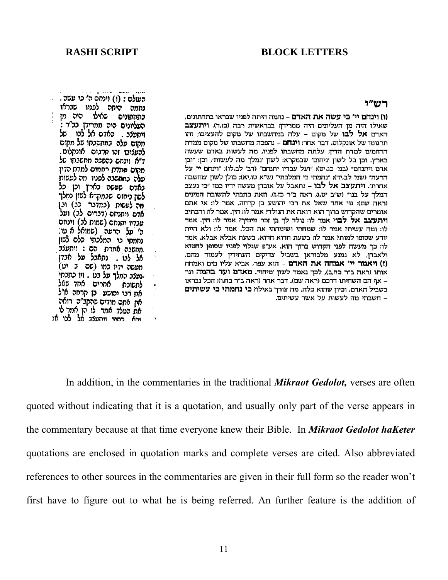## **RASHI SCRIPT BLOCK LETTERS**

#### カグセクー

(ו) וינחם יי' כי עשה את האדם - נחמה היתה לפניו שבראו בתחתונים, שאילו היה מן העליונים היה ממרידן; בבראשית רבה (כז,ד). ויתעצב האדם אל לבו של מקום – עלה במחשבתו של מקום להעציבו; זהו תרגומו של אונקלוס. דבר אחר: **וינחם** – נהפכה מחשבתו של מקום ממדת הרחמים למדת הדיז; עלתה מחשבתו לפניו, מה לעשות באדם שעשה בארץ. וכן כל לשון 'ניחום' שבמקרא: לשון 'נמלך מה לעשות', וכן: "ובן אדם ויתנחם" (במ' כג,יט); "ועל עבדיו יתנחם" (דב' לב,לו); "וינחם יי' על הרעה" (שמ' לב,יד); "נחמתי כי המלכתי" (ש"א טו,יא); כולן לשון 'מחשבה אחרת'. **ויתעצב אל לבו** – נתאבל על אובדן מעשה ידיו כמו "כי נעצב המלך על בנו" (ש"ב יט,ג; ראה ב"ר כז,ז). וזאת כתבתי לתשובת המינים (ראה שם): גוי אחד שאל את רבי יהושע בן קרחה, אמר לו: אי אתם אומרים שהקדוש ברוך הוא רואה את הנולדי אמר לו: הין. אמר לו: והכתיב ויתעצב אל לבוי אמר לו: נולד לך בן זכר מימיךי אמר לו: הין. אמר לו: ומה עשית? אמר לו: שמחתי ושימחתי את הכל. אמר לו: ולא היית יודע שסופו למות? אמר לו: בשעת חדוא חדוא, בשעת אבלא אבלא. אמר לו: כך מעשה לפני הקדוש ברוך הוא, אע"פ שגלוי לפניו שסופן לחטוא ולאבדן, לא נמנע מלבוראן בשביל צדיקים העתידין לעמוד מהם. (ז) ויאמר יי' אמחה את האדם – הוא עפר, אביא עליו מים ואמחה אותו (ראה ב״ר כח,ב), לכך נאמר לשון ׳מיחוי׳. **מאדם ועד בהמה** וגו׳ – אף הם השחיתו דרכם (ראה שם). דבר אחר (ראה ב״ר כח,ו): הכל נבראו בשביל האדם, וכיון שהוא כלה, מה צורך באילו? כי נחמתי כי עשיתים – חשבתי מה לעשות על אשר עשיתים.

העולם : (ו) וינחם ה' כי עשה . נחמה היתה לפניו שבראו בתחתונים באילו היה מן העליונים היה ממרידן בב"ר : ויתעלב. האדם אל לבו של מהום עלה במחשכתו של מקום להעליבו זהו מרגום אונקלום. ד"א וינחס נהסכה מחשבתו של מקום ממדת רחמים למדת הדין עלה בחתשבה לפניו מה לעשות באדם שפשה בארץ וכן כל לשון ניחום שבמקרא לשון נמלך תה לעשות (כחדבר כג) וכן<br>אדם ויתניום (דברים לב) ועל עבדיו יתנחם (שמות לכ) וינחם ה׳ על הרעה (שמואל א עו) נחמתי כי המלכתי כלם לשון .מחשבה אחרת הם : ויתעלב אל לבו . נתאבל על אבדן תפשה ידיו כמו (שם ב יט) -נעצב המלך על בנו . וזו כתבתי לתשובת אחרים אחד שאל את רבי יהושע בן קרחה א״ל אין אתם מודים שהקב״ה רואה את הטלד אמר לו הן אמר לו והא כחיב ויחעלב אל לבו או

In addition, in the commentaries in the traditional *Mikraot Gedolot,* verses are often quoted without indicating that it is a quotation, and usually only part of the verse appears in the commentary because at that time everyone knew their Bible. In *Mikraot Gedolot haKeter* quotations are enclosed in quotation marks and complete verses are cited. Also abbreviated references to other sources in the commentaries are given in their full form so the reader won't first have to figure out to what he is being referred. An further feature is the addition of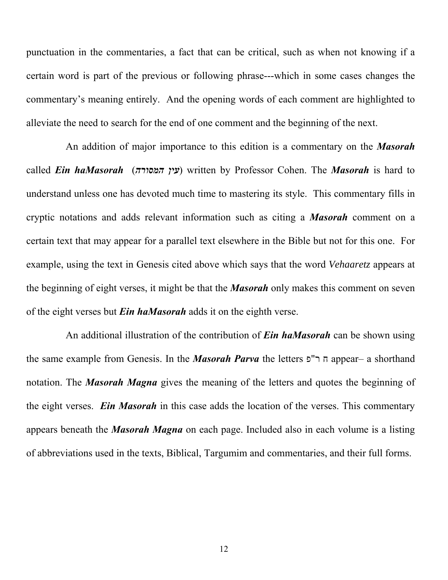punctuation in the commentaries, a fact that can be critical, such as when not knowing if a certain word is part of the previous or following phrase---which in some cases changes the commentary's meaning entirely. And the opening words of each comment are highlighted to alleviate the need to search for the end of one comment and the beginning of the next.

An addition of major importance to this edition is a commentary on the *Masorah* called *Ein haMasorah* ( ) *המסורה עין* written by Professor Cohen. The *Masorah* is hard to understand unless one has devoted much time to mastering its style. This commentary fills in cryptic notations and adds relevant information such as citing a *Masorah* comment on a certain text that may appear for a parallel text elsewhere in the Bible but not for this one. For example, using the text in Genesis cited above which says that the word *Vehaaretz* appears at the beginning of eight verses, it might be that the *Masorah* only makes this comment on seven of the eight verses but *Ein haMasorah* adds it on the eighth verse.

An additional illustration of the contribution of *Ein haMasorah* can be shown using the same example from Genesis. In the *Masorah Parva* the letters פ"ר ח appear– a shorthand notation. The *Masorah Magna* gives the meaning of the letters and quotes the beginning of the eight verses. *Ein Masorah* in this case adds the location of the verses. This commentary appears beneath the *Masorah Magna* on each page. Included also in each volume is a listing of abbreviations used in the texts, Biblical, Targumim and commentaries, and their full forms.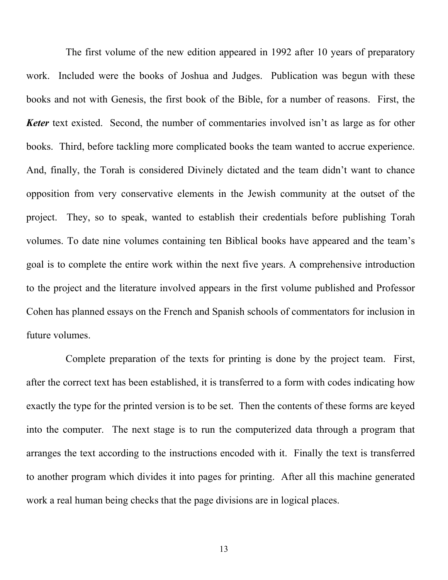The first volume of the new edition appeared in 1992 after 10 years of preparatory work. Included were the books of Joshua and Judges. Publication was begun with these books and not with Genesis, the first book of the Bible, for a number of reasons. First, the **Keter** text existed. Second, the number of commentaries involved isn't as large as for other books. Third, before tackling more complicated books the team wanted to accrue experience. And, finally, the Torah is considered Divinely dictated and the team didn't want to chance opposition from very conservative elements in the Jewish community at the outset of the project. They, so to speak, wanted to establish their credentials before publishing Torah volumes. To date nine volumes containing ten Biblical books have appeared and the team's goal is to complete the entire work within the next five years. A comprehensive introduction to the project and the literature involved appears in the first volume published and Professor Cohen has planned essays on the French and Spanish schools of commentators for inclusion in future volumes.

Complete preparation of the texts for printing is done by the project team. First, after the correct text has been established, it is transferred to a form with codes indicating how exactly the type for the printed version is to be set. Then the contents of these forms are keyed into the computer. The next stage is to run the computerized data through a program that arranges the text according to the instructions encoded with it. Finally the text is transferred to another program which divides it into pages for printing. After all this machine generated work a real human being checks that the page divisions are in logical places.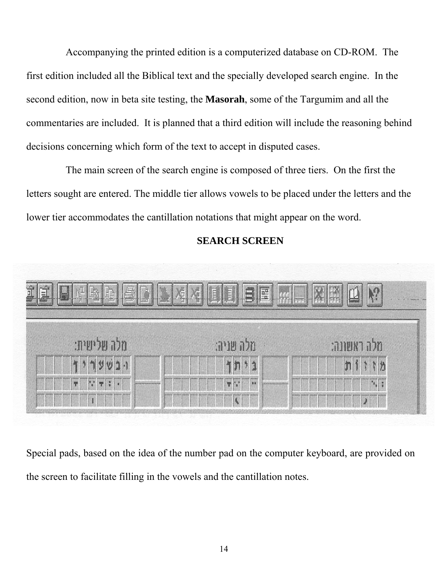Accompanying the printed edition is a computerized database on CD-ROM. The first edition included all the Biblical text and the specially developed search engine. In the second edition, now in beta site testing, the **Masorah**, some of the Targumim and all the commentaries are included. It is planned that a third edition will include the reasoning behind decisions concerning which form of the text to accept in disputed cases.

The main screen of the search engine is composed of three tiers. On the first the letters sought are entered. The middle tier allows vowels to be placed under the letters and the lower tier accommodates the cantillation notations that might appear on the word.



# **SEARCH SCREEN**

Special pads, based on the idea of the number pad on the computer keyboard, are provided on the screen to facilitate filling in the vowels and the cantillation notes.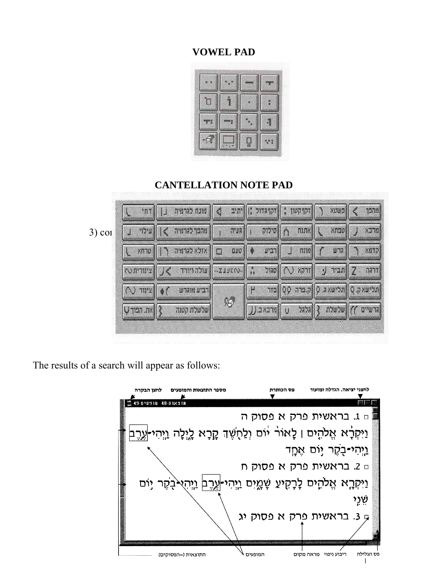# **VOWEL PAD**



## **CANTELLATION NOTE PAD**

|          |                     | ר   זקרקטון:   זקרגדול:   יתיב   ס   מונח לגרמיה     דחי                         |                    |                                                                                                                                            |                                     | $x$ $\left \frac{1}{x}\right $            | [מהכך       |
|----------|---------------------|----------------------------------------------------------------------------------|--------------------|--------------------------------------------------------------------------------------------------------------------------------------------|-------------------------------------|-------------------------------------------|-------------|
| $3)$ col |                     | ו ההפך לגרמיה $\ \cdot\ $ עילוי                                                  | $  $ <b>FILLER</b> | ↑   סילוק                                                                                                                                  | $\left  \sum_{i=1}^{n} x_i \right $ | $X$ ngu $  $ $ $                          | <b>XJ7N</b> |
|          |                     | אדלא להרמיה רן    טרחא                                                           | DUD<br>$\square$   | $\begin{array}{c c c c c} \hline \text{L} & \text{L} & \text{L} \\ \hline \text{L} & \text{L} & \text{R} & \text{R} \\ \hline \end{array}$ | min  f                              | $\mu$ הר                                  | NNT7        |
|          |                     | ∑   תביר <i>ע</i>   זרקא (∧)   סגול :,    21טנג ב    עולה ויורד > J    צינורית נ |                    |                                                                                                                                            |                                     |                                           | TATT        |
|          | $\circ$   xur (     | <b>  רביע מוגרש</b>                                                              |                    |                                                                                                                                            |                                     | תלישאק, p   תלישא ג. Q   ק. ברה Q p   בדר |             |
|          | $\ \psi\ $ את. הפוך | שלשלת קטנה                                                                       | 95                 | הרשיים ))   שלשלת {   הלהל ט   מרכא ב. LL                                                                                                  |                                     |                                           |             |

The results of a search will appear as follows:

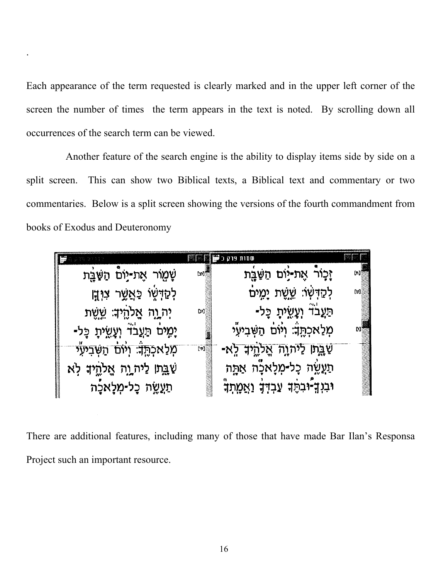Each appearance of the term requested is clearly marked and in the upper left corner of the screen the number of times the term appears in the text is noted. By scrolling down all occurrences of the search term can be viewed.

.

Another feature of the search engine is the ability to display items side by side on a split screen. This can show two Biblical texts, a Biblical text and commentary or two commentaries. Below is a split screen showing the versions of the fourth commandment from books of Exodus and Deuteronomy

|                                                           |                     | <b>MERCE OF STRAIGHT</b>                 |      |
|-----------------------------------------------------------|---------------------|------------------------------------------|------|
| שָׁמֻוֹר אֶת-יָוֹם הַשָּׁבֻת                              | [m]                 | וָכָוֹר אֶת-יָוֹם הַשַּׁבָת              | [h]§ |
| לְקַדְשֶׁוּ כַּאֲשֶר צו <b>ּ</b> יְ <del>ןָ</del>         |                     | לְקַדְשׁרָ שֱשֶׁת יָמֶים                 | Юļ   |
| יִה יֶתָ אֱלֹהֶיִּהָ שֱשֶׁת                               | D)]                 | ּתַּעֲבֹדٛ וְעָשֵׂיתָ כָּל-              |      |
| יָמְיֹם תַּעֲבֹדٛ וְעָשֵׂיתָ כָּל-                        |                     | מְלַאכְהֶֽדָ׃ וְיֹוֹם הַשְּׁבִיעֶי       |      |
| <b>מְלַאכְ<del>הֶן: וְיֹוֹם הַ</del>שְּׁבִיעֶ<i>י</i></b> | $\lfloor m \rfloor$ | <u>שַׁבְּתו לַיְהוָה אֱלֹהֶיךָ לֵ</u> א- |      |
| שַׁבֵּתוּ לַיה וֶה אֱלֹהֱיִד לְא                          |                     | תַעֲשֶׂה כָל-מְלָאכָה אַתָּה             |      |
| תַעֲשֶׂה כָל-מְלָאכָה                                     |                     | וּבִוְךָ-וּבִהֶךְ עַבְדְךָ וַאֲמֶתְךָ    |      |

There are additional features, including many of those that have made Bar Ilan's Responsa Project such an important resource.